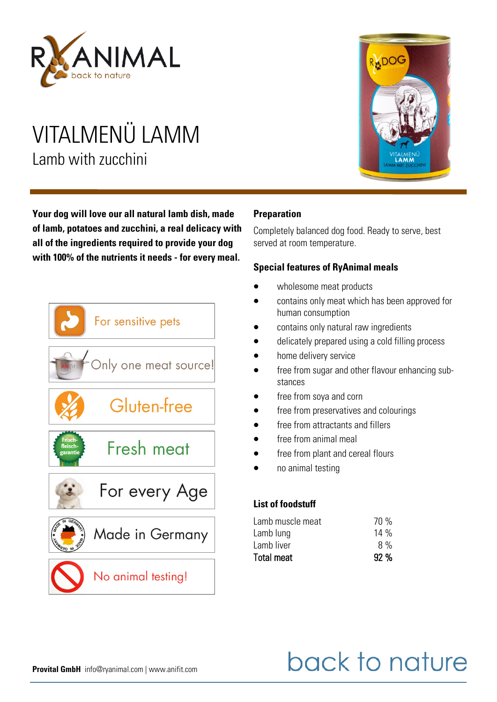

## VITALMENÜ LAMM Lamb with zucchini

**Your dog will love our all natural lamb dish, made of lamb, potatoes and zucchini, a real delicacy with all of the ingredients required to provide your dog with 100% of the nutrients it needs - for every meal.**



# RADOG **IALMEN**

#### **Preparation**

Completely balanced dog food. Ready to serve, best served at room temperature.

#### **Special features of RyAnimal meals**

- wholesome meat products
- contains only meat which has been approved for human consumption
- contains only natural raw ingredients
- delicately prepared using a cold filling process
- home delivery service
- free from sugar and other flavour enhancing substances
- free from soya and corn
- free from preservatives and colourings
- free from attractants and fillers
- free from animal meal
- free from plant and cereal flours
- no animal testing

#### **List of foodstuff**

| Lamb liver<br>Total meat | 8%<br>92% |
|--------------------------|-----------|
| Lamb lung                | $14\%$    |
|                          |           |
| Lamb muscle meat         | 70 %      |

# back to nature